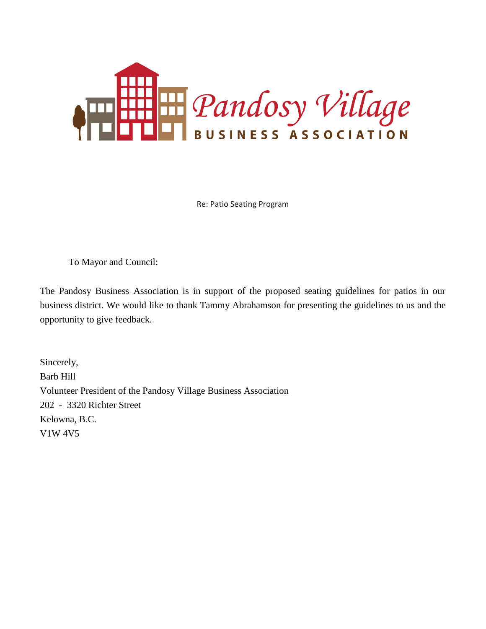

Re: Patio Seating Program

To Mayor and Council:

The Pandosy Business Association is in support of the proposed seating guidelines for patios in our business district. We would like to thank Tammy Abrahamson for presenting the guidelines to us and the opportunity to give feedback.

Sincerely, Barb Hill Volunteer President of the Pandosy Village Business Association 202 - 3320 Richter Street Kelowna, B.C. V1W 4V5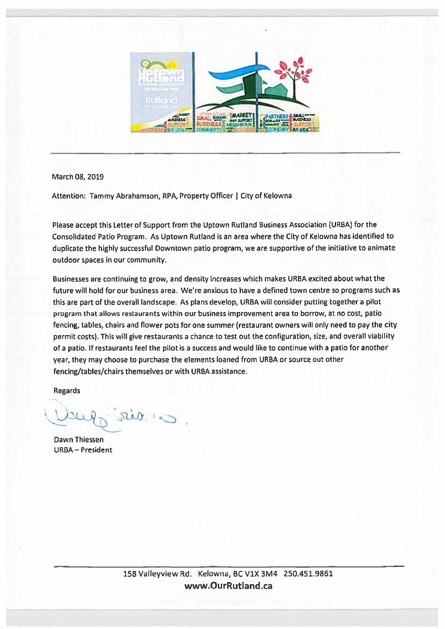

## March 08, 2019

Attention: Tammy Abrahamson, RPA, Property Officer | City of Kelowna

Please accept this Letter of Support from the Uptown Rutland Business Association (URBA) for the Consolidated Patio Program. As Uptown Rutland is an area where the City of Kelowna has identified to duplicate the highly successful Downtown patio program, we are supportive of the initiative to animate outdoor spaces in our community.

Businesses are continuing to grow, and density increases which makes URBA excited about what the future will hold for our business area. We're anxious to have a defined town centre so programs such as this are part of the overall landscape. As plans develop, URBA will consider putting together a pilot program that allows restaurants within our business improvement area to borrow, at no cost, patio fencing, tables, chairs and flower pots for one summer (restaurant owners will only need to pay the city permit costs). This will give restaurants a chance to test out the configuration, size, and overall viability of a patio. If restaurants feel the pilot is a success and would like to continue with a patio for another year, they may choose to purchase the elements loaned from URBA or source out other fencing/tables/chairs themselves or with URBA assistance.

**Regards** 

steer in

**Dawn Thiessen URBA - President**